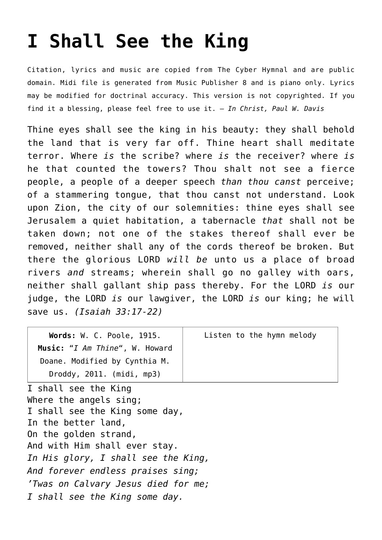## **[I Shall See the King](http://reproachofmen.org/hymns-and-music/i-shall-see-the-king/)**

Citation, lyrics and music are copied from [The Cyber Hymnal](http://www.hymntime.com/tch/index.htm) and are public domain. Midi file is generated from [Music Publisher 8](http://www.braeburn.co.uk/mp.htm) and is piano only. Lyrics may be modified for doctrinal accuracy. This version is not copyrighted. If you find it a blessing, please feel free to use it. — *In Christ, Paul W. Davis*

Thine eyes shall see the king in his beauty: they shall behold the land that is very far off. Thine heart shall meditate terror. Where *is* the scribe? where *is* the receiver? where *is* he that counted the towers? Thou shalt not see a fierce people, a people of a deeper speech *than thou canst* perceive; of a stammering tongue, that thou canst not understand. Look upon Zion, the city of our solemnities: thine eyes shall see Jerusalem a quiet habitation, a tabernacle *that* shall not be taken down; not one of the stakes thereof shall ever be removed, neither shall any of the cords thereof be broken. But there the glorious LORD *will be* unto us a place of broad rivers *and* streams; wherein shall go no galley with oars, neither shall gallant ship pass thereby. For the LORD *is* our judge, the LORD *is* our lawgiver, the LORD *is* our king; he will save us. *(Isaiah 33:17-22)*

| Words: W. C. Poole, 1915.<br>Music: "I Am Thine", W. Howard | Listen to the hymn melody |
|-------------------------------------------------------------|---------------------------|
| Doane. Modified by Cynthia M.                               |                           |
| Droddy, 2011. (midi, mp3)                                   |                           |
| I shall see the King                                        |                           |
| Where the angels sing;                                      |                           |
| I shall see the King some day,                              |                           |
| In the better land,                                         |                           |
| On the golden strand,                                       |                           |
| And with Him shall ever stay.                               |                           |
| In His glory, I shall see the King,                         |                           |
| And forever endless praises sing;                           |                           |
| 'Twas on Calvary Jesus died for me;                         |                           |
| I shall see the King some day.                              |                           |